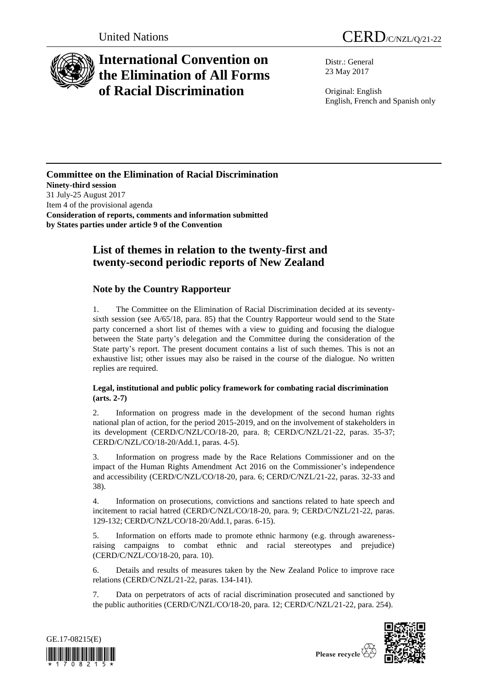

# **International Convention on the Elimination of All Forms of Racial Discrimination**

Distr.: General 23 May 2017

Original: English English, French and Spanish only

### **Committee on the Elimination of Racial Discrimination Ninety-third session** 31 July-25 August 2017 Item 4 of the provisional agenda **Consideration of reports, comments and information submitted by States parties under article 9 of the Convention**

# **List of themes in relation to the twenty-first and twenty-second periodic reports of New Zealand**

## **Note by the Country Rapporteur**

1. The Committee on the Elimination of Racial Discrimination decided at its seventysixth session (see A/65/18, para. 85) that the Country Rapporteur would send to the State party concerned a short list of themes with a view to guiding and focusing the dialogue between the State party's delegation and the Committee during the consideration of the State party's report. The present document contains a list of such themes. This is not an exhaustive list; other issues may also be raised in the course of the dialogue. No written replies are required.

### **Legal, institutional and public policy framework for combating racial discrimination (arts. 2-7)**

2. Information on progress made in the development of the second human rights national plan of action, for the period 2015-2019, and on the involvement of stakeholders in its development (CERD/C/NZL/CO/18-20, para. 8; CERD/C/NZL/21-22, paras. 35-37; CERD/C/NZL/CO/18-20/Add.1, paras. 4-5).

3. Information on progress made by the Race Relations Commissioner and on the impact of the Human Rights Amendment Act 2016 on the Commissioner's independence and accessibility (CERD/C/NZL/CO/18-20, para. 6; CERD/C/NZL/21-22, paras. 32-33 and 38).

4. Information on prosecutions, convictions and sanctions related to hate speech and incitement to racial hatred (CERD/C/NZL/CO/18-20, para. 9; CERD/C/NZL/21-22, paras. 129-132; CERD/C/NZL/CO/18-20/Add.1, paras. 6-15).

5. Information on efforts made to promote ethnic harmony (e.g. through awarenessraising campaigns to combat ethnic and racial stereotypes and prejudice) (CERD/C/NZL/CO/18-20, para. 10).

6. Details and results of measures taken by the New Zealand Police to improve race relations (CERD/C/NZL/21-22, paras. 134-141).

7. Data on perpetrators of acts of racial discrimination prosecuted and sanctioned by the public authorities (CERD/C/NZL/CO/18-20, para. 12; CERD/C/NZL/21-22, para. 254).



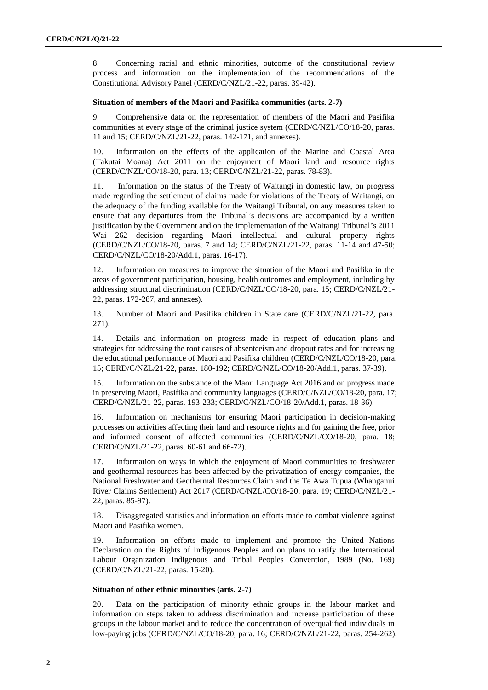8. Concerning racial and ethnic minorities, outcome of the constitutional review process and information on the implementation of the recommendations of the Constitutional Advisory Panel (CERD/C/NZL/21-22, paras. 39-42).

#### **Situation of members of the Maori and Pasifika communities (arts. 2-7)**

9. Comprehensive data on the representation of members of the Maori and Pasifika communities at every stage of the criminal justice system (CERD/C/NZL/CO/18-20, paras. 11 and 15; CERD/C/NZL/21-22, paras. 142-171, and annexes).

10. Information on the effects of the application of the Marine and Coastal Area (Takutai Moana) Act 2011 on the enjoyment of Maori land and resource rights (CERD/C/NZL/CO/18-20, para. 13; CERD/C/NZL/21-22, paras. 78-83).

11. Information on the status of the Treaty of Waitangi in domestic law, on progress made regarding the settlement of claims made for violations of the Treaty of Waitangi, on the adequacy of the funding available for the Waitangi Tribunal, on any measures taken to ensure that any departures from the Tribunal's decisions are accompanied by a written justification by the Government and on the implementation of the Waitangi Tribunal's 2011 Wai 262 decision regarding Maori intellectual and cultural property rights (CERD/C/NZL/CO/18-20, paras. 7 and 14; CERD/C/NZL/21-22, paras. 11-14 and 47-50; CERD/C/NZL/CO/18-20/Add.1, paras. 16-17).

12. Information on measures to improve the situation of the Maori and Pasifika in the areas of government participation, housing, health outcomes and employment, including by addressing structural discrimination (CERD/C/NZL/CO/18-20, para. 15; CERD/C/NZL/21- 22, paras. 172-287, and annexes).

13. Number of Maori and Pasifika children in State care (CERD/C/NZL/21-22, para. 271).

14. Details and information on progress made in respect of education plans and strategies for addressing the root causes of absenteeism and dropout rates and for increasing the educational performance of Maori and Pasifika children (CERD/C/NZL/CO/18-20, para. 15; CERD/C/NZL/21-22, paras. 180-192; CERD/C/NZL/CO/18-20/Add.1, paras. 37-39).

15. Information on the substance of the Maori Language Act 2016 and on progress made in preserving Maori, Pasifika and community languages (CERD/C/NZL/CO/18-20, para. 17; CERD/C/NZL/21-22, paras. 193-233; CERD/C/NZL/CO/18-20/Add.1, paras. 18-36).

16. Information on mechanisms for ensuring Maori participation in decision-making processes on activities affecting their land and resource rights and for gaining the free, prior and informed consent of affected communities (CERD/C/NZL/CO/18-20, para. 18; CERD/C/NZL/21-22, paras. 60-61 and 66-72).

17. Information on ways in which the enjoyment of Maori communities to freshwater and geothermal resources has been affected by the privatization of energy companies, the National Freshwater and Geothermal Resources Claim and the Te Awa Tupua (Whanganui River Claims Settlement) Act 2017 (CERD/C/NZL/CO/18-20, para. 19; CERD/C/NZL/21- 22, paras. 85-97).

18. Disaggregated statistics and information on efforts made to combat violence against Maori and Pasifika women.

19. Information on efforts made to implement and promote the United Nations Declaration on the Rights of Indigenous Peoples and on plans to ratify the International Labour Organization Indigenous and Tribal Peoples Convention, 1989 (No. 169) (CERD/C/NZL/21-22, paras. 15-20).

#### **Situation of other ethnic minorities (arts. 2-7)**

20. Data on the participation of minority ethnic groups in the labour market and information on steps taken to address discrimination and increase participation of these groups in the labour market and to reduce the concentration of overqualified individuals in low-paying jobs (CERD/C/NZL/CO/18-20, para. 16; CERD/C/NZL/21-22, paras. 254-262).